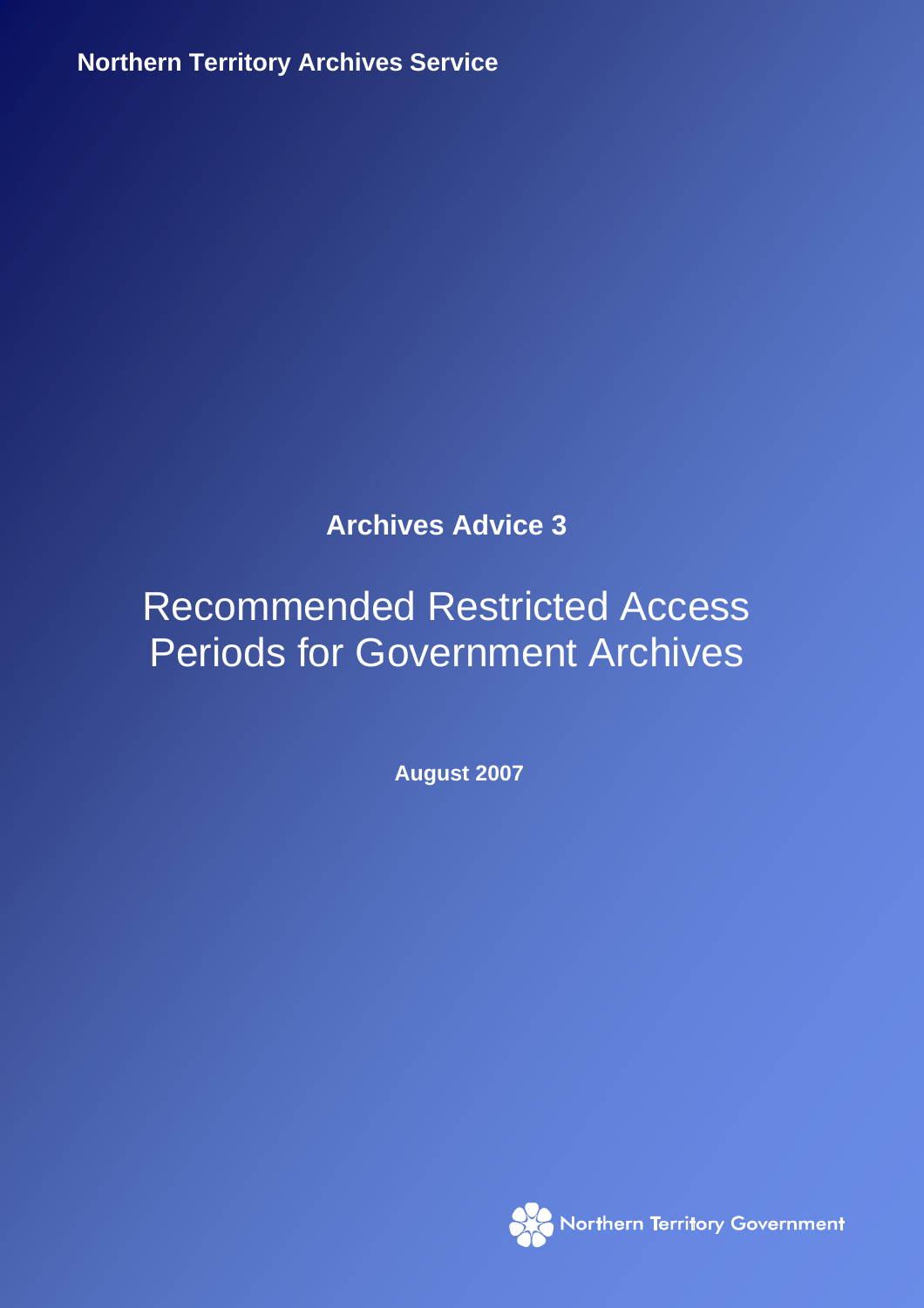**Northern Territory Archives Service** RECOMMENDED RESTRICTED ACCESS PERIODS FOR GOVERNMENT ARCHIVES AUGUST 2007

## **Archives Advice 3**

# Recommended Restricted Access Periods for Government Archives

**August 2007** 

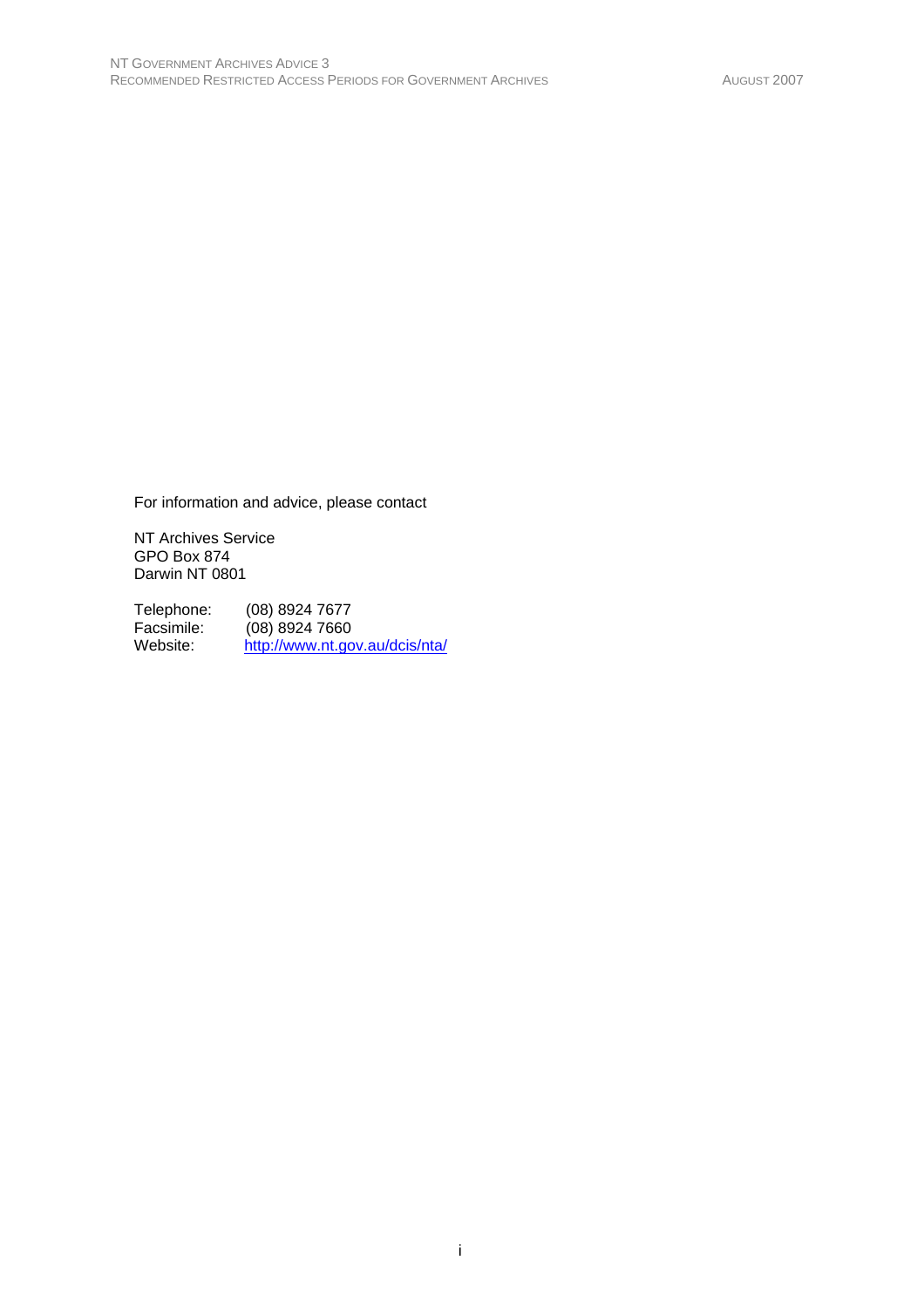For information and advice, please contact

NT Archives Service GPO Box 874 Darwin NT 0801

Telephone: (08) 8924 7677 Facsimile: (08) 8924 7660<br>Website: http://www.nt.go http://www.nt.gov.au/dcis/nta/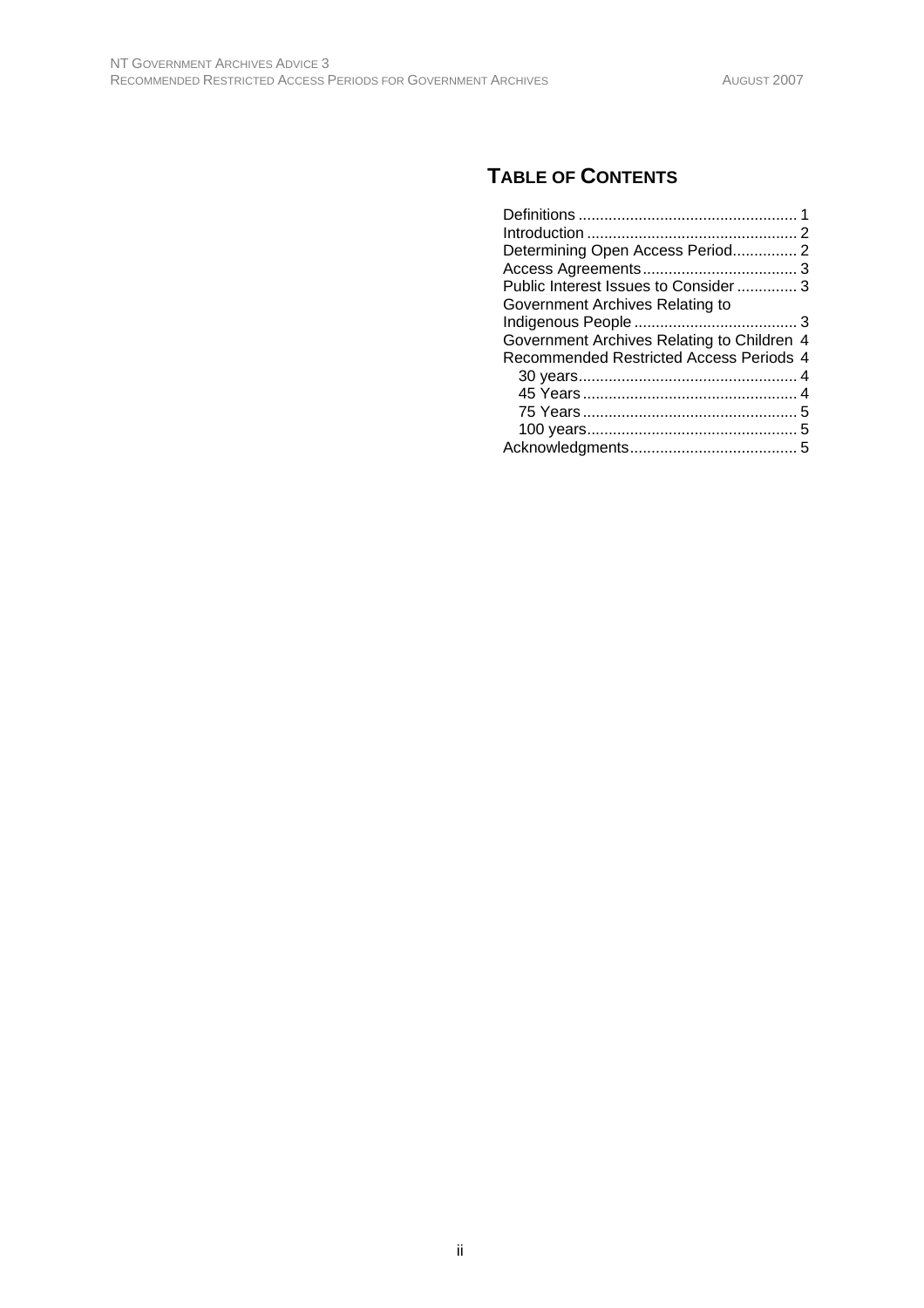## **TABLE OF CONTENTS**

| Determining Open Access Period 2           |  |
|--------------------------------------------|--|
|                                            |  |
| Public Interest Issues to Consider 3       |  |
| Government Archives Relating to            |  |
|                                            |  |
| Government Archives Relating to Children 4 |  |
| Recommended Restricted Access Periods 4    |  |
|                                            |  |
|                                            |  |
|                                            |  |
|                                            |  |
|                                            |  |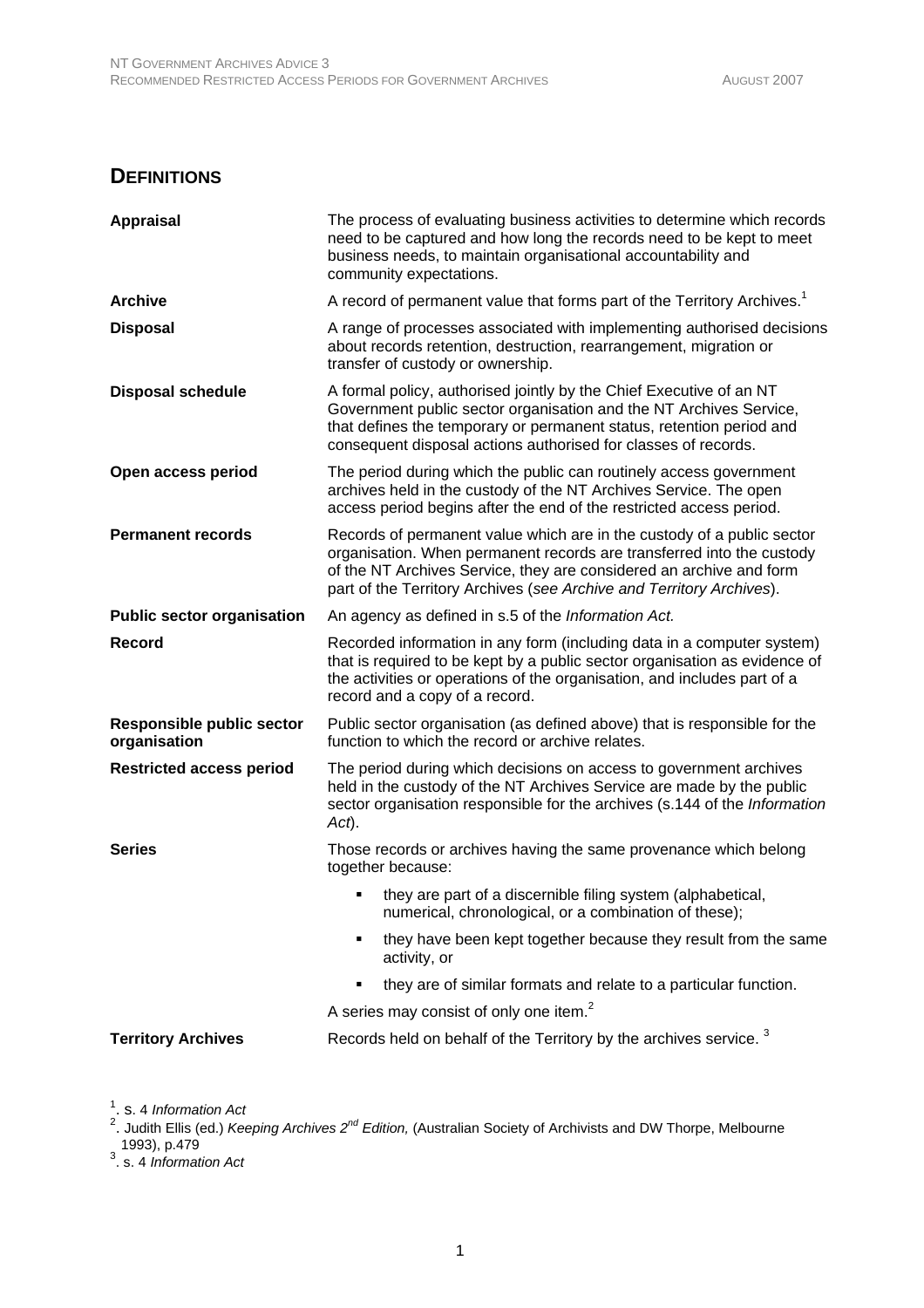#### **DEFINITIONS**

| <b>Appraisal</b>                                 | The process of evaluating business activities to determine which records<br>need to be captured and how long the records need to be kept to meet<br>business needs, to maintain organisational accountability and<br>community expectations.                                                   |
|--------------------------------------------------|------------------------------------------------------------------------------------------------------------------------------------------------------------------------------------------------------------------------------------------------------------------------------------------------|
| <b>Archive</b>                                   | A record of permanent value that forms part of the Territory Archives. <sup>1</sup>                                                                                                                                                                                                            |
| <b>Disposal</b>                                  | A range of processes associated with implementing authorised decisions<br>about records retention, destruction, rearrangement, migration or<br>transfer of custody or ownership.                                                                                                               |
| <b>Disposal schedule</b>                         | A formal policy, authorised jointly by the Chief Executive of an NT<br>Government public sector organisation and the NT Archives Service,<br>that defines the temporary or permanent status, retention period and<br>consequent disposal actions authorised for classes of records.            |
| Open access period                               | The period during which the public can routinely access government<br>archives held in the custody of the NT Archives Service. The open<br>access period begins after the end of the restricted access period.                                                                                 |
| <b>Permanent records</b>                         | Records of permanent value which are in the custody of a public sector<br>organisation. When permanent records are transferred into the custody<br>of the NT Archives Service, they are considered an archive and form<br>part of the Territory Archives (see Archive and Territory Archives). |
| <b>Public sector organisation</b>                | An agency as defined in s.5 of the Information Act.                                                                                                                                                                                                                                            |
| Record                                           | Recorded information in any form (including data in a computer system)<br>that is required to be kept by a public sector organisation as evidence of<br>the activities or operations of the organisation, and includes part of a<br>record and a copy of a record.                             |
| <b>Responsible public sector</b><br>organisation | Public sector organisation (as defined above) that is responsible for the<br>function to which the record or archive relates.                                                                                                                                                                  |
| <b>Restricted access period</b>                  | The period during which decisions on access to government archives<br>held in the custody of the NT Archives Service are made by the public<br>sector organisation responsible for the archives (s.144 of the Information<br>Act).                                                             |
| <b>Series</b>                                    | Those records or archives having the same provenance which belong<br>together because:                                                                                                                                                                                                         |
|                                                  | they are part of a discernible filing system (alphabetical,<br>numerical, chronological, or a combination of these);                                                                                                                                                                           |
|                                                  | they have been kept together because they result from the same<br>activity, or                                                                                                                                                                                                                 |
|                                                  | they are of similar formats and relate to a particular function.                                                                                                                                                                                                                               |
|                                                  | A series may consist of only one item. <sup>2</sup>                                                                                                                                                                                                                                            |
| <b>Territory Archives</b>                        | Records held on behalf of the Territory by the archives service. <sup>3</sup>                                                                                                                                                                                                                  |

<sup>1</sup>. s. 4 *Information Act*<br><sup>2</sup>. Judith Ellis (ed.) *Keeping Archives 2<sup>nd</sup> Edition,* (Australian Society of Archivists and DW Thorpe, Melbourne 1993), p.479 3 . s. 4 *Information Act*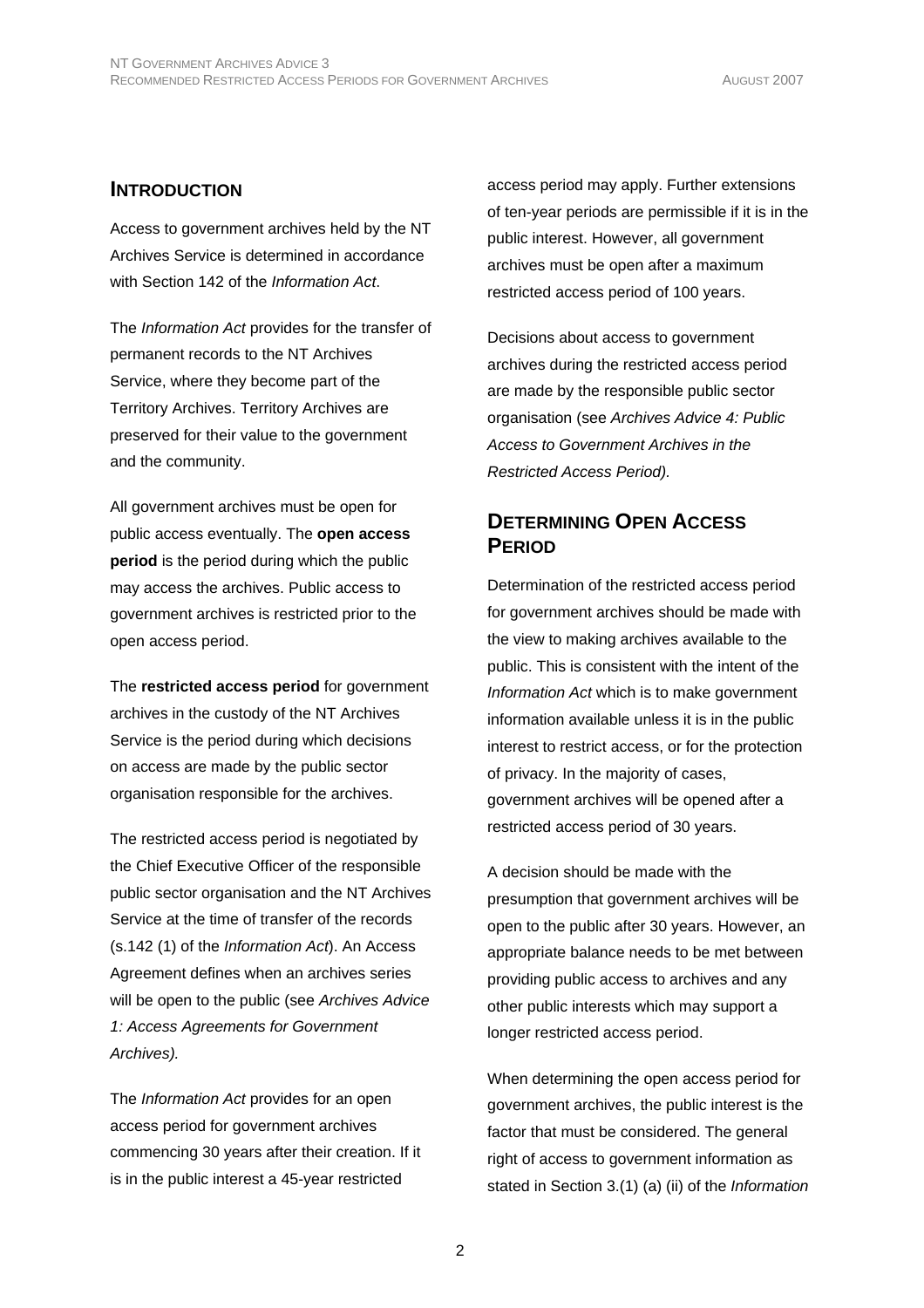#### **INTRODUCTION**

Access to government archives held by the NT Archives Service is determined in accordance with Section 142 of the *Information Act*.

The *Information Act* provides for the transfer of permanent records to the NT Archives Service, where they become part of the Territory Archives. Territory Archives are preserved for their value to the government and the community.

All government archives must be open for public access eventually. The **open access period** is the period during which the public may access the archives. Public access to government archives is restricted prior to the open access period.

The **restricted access period** for government archives in the custody of the NT Archives Service is the period during which decisions on access are made by the public sector organisation responsible for the archives.

The restricted access period is negotiated by the Chief Executive Officer of the responsible public sector organisation and the NT Archives Service at the time of transfer of the records (s.142 (1) of the *Information Act*). An Access Agreement defines when an archives series will be open to the public (see *Archives Advice 1: Access Agreements for Government Archives).*

The *Information Act* provides for an open access period for government archives commencing 30 years after their creation. If it is in the public interest a 45-year restricted

access period may apply. Further extensions of ten-year periods are permissible if it is in the public interest. However, all government archives must be open after a maximum restricted access period of 100 years.

Decisions about access to government archives during the restricted access period are made by the responsible public sector organisation (see *Archives Advice 4: Public Access to Government Archives in the Restricted Access Period).* 

#### **DETERMINING OPEN ACCESS PERIOD**

Determination of the restricted access period for government archives should be made with the view to making archives available to the public. This is consistent with the intent of the *Information Act* which is to make government information available unless it is in the public interest to restrict access, or for the protection of privacy. In the majority of cases, government archives will be opened after a restricted access period of 30 years.

A decision should be made with the presumption that government archives will be open to the public after 30 years. However, an appropriate balance needs to be met between providing public access to archives and any other public interests which may support a longer restricted access period.

When determining the open access period for government archives, the public interest is the factor that must be considered. The general right of access to government information as stated in Section 3.(1) (a) (ii) of the *Information*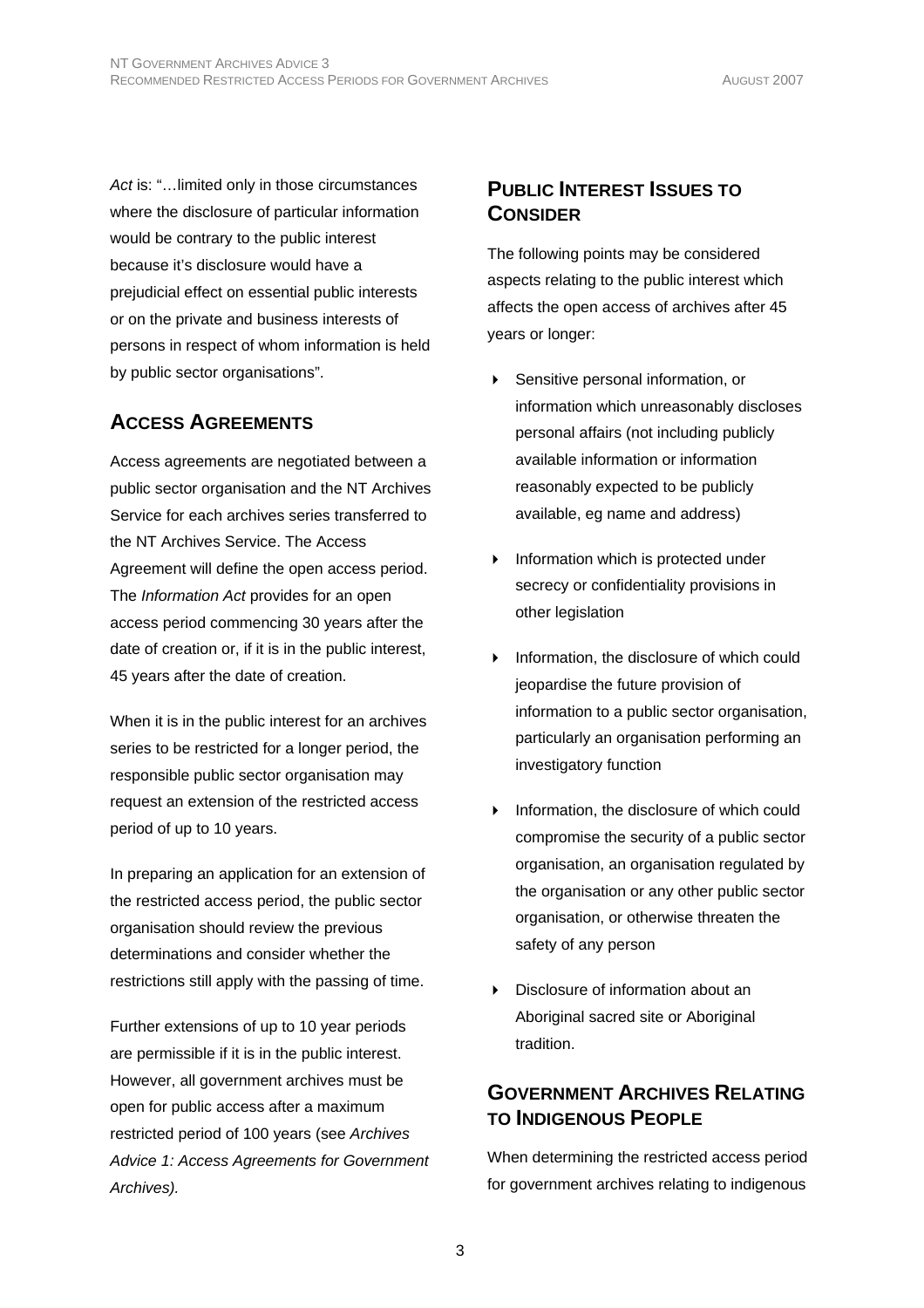*Act* is: "…limited only in those circumstances where the disclosure of particular information would be contrary to the public interest because it's disclosure would have a prejudicial effect on essential public interests or on the private and business interests of persons in respect of whom information is held by public sector organisations".

## **ACCESS AGREEMENTS**

Access agreements are negotiated between a public sector organisation and the NT Archives Service for each archives series transferred to the NT Archives Service. The Access Agreement will define the open access period. The *Information Act* provides for an open access period commencing 30 years after the date of creation or, if it is in the public interest, 45 years after the date of creation.

When it is in the public interest for an archives series to be restricted for a longer period, the responsible public sector organisation may request an extension of the restricted access period of up to 10 years.

In preparing an application for an extension of the restricted access period, the public sector organisation should review the previous determinations and consider whether the restrictions still apply with the passing of time.

Further extensions of up to 10 year periods are permissible if it is in the public interest. However, all government archives must be open for public access after a maximum restricted period of 100 years (see *Archives Advice 1: Access Agreements for Government Archives).* 

## **PUBLIC INTEREST ISSUES TO CONSIDER**

The following points may be considered aspects relating to the public interest which affects the open access of archives after 45 years or longer:

- Sensitive personal information, or information which unreasonably discloses personal affairs (not including publicly available information or information reasonably expected to be publicly available, eg name and address)
- **Information which is protected under** secrecy or confidentiality provisions in other legislation
- Information, the disclosure of which could jeopardise the future provision of information to a public sector organisation, particularly an organisation performing an investigatory function
- Information, the disclosure of which could compromise the security of a public sector organisation, an organisation regulated by the organisation or any other public sector organisation, or otherwise threaten the safety of any person
- Disclosure of information about an Aboriginal sacred site or Aboriginal tradition.

## **GOVERNMENT ARCHIVES RELATING TO INDIGENOUS PEOPLE**

When determining the restricted access period for government archives relating to indigenous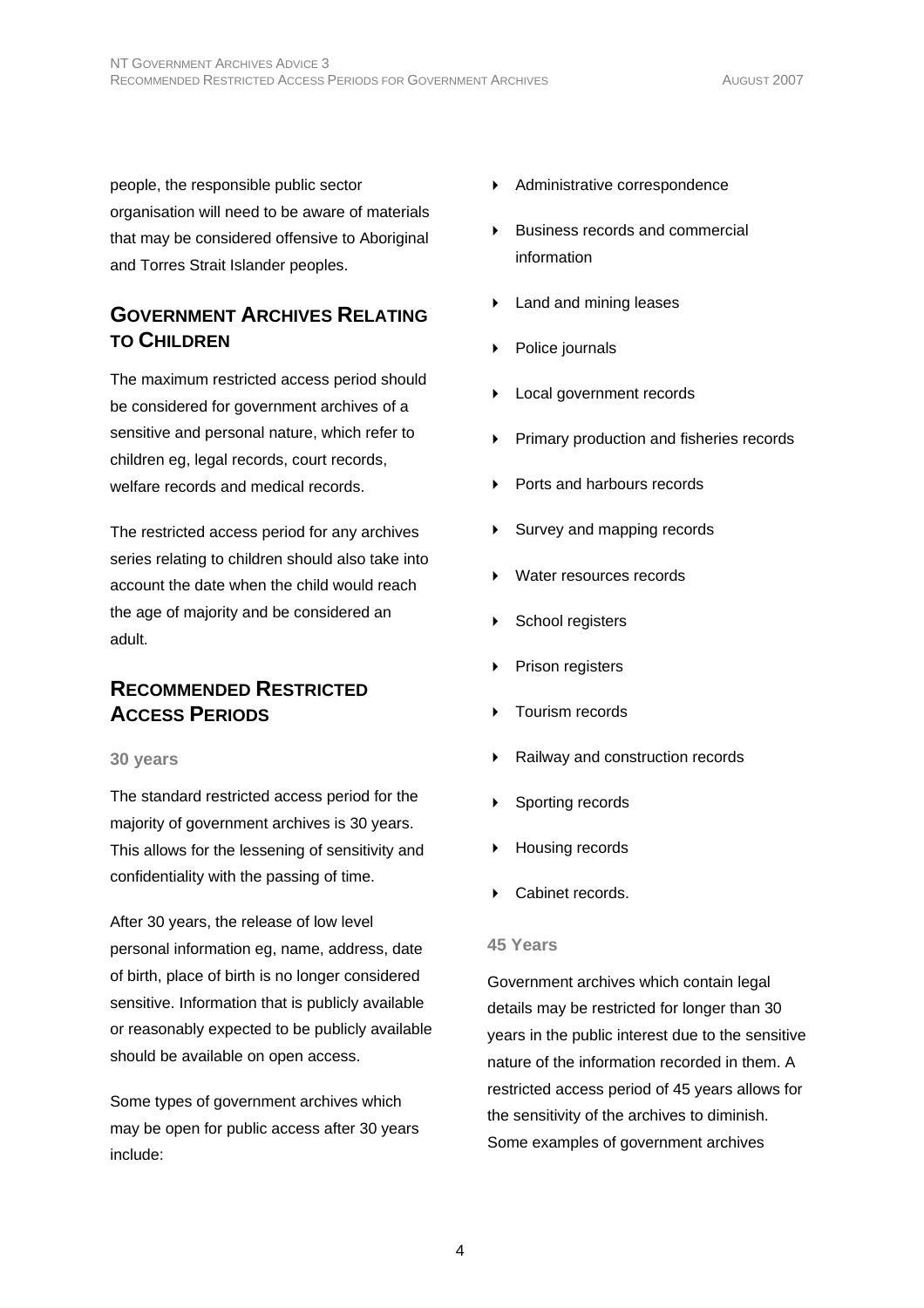people, the responsible public sector organisation will need to be aware of materials that may be considered offensive to Aboriginal and Torres Strait Islander peoples.

## **GOVERNMENT ARCHIVES RELATING TO CHILDREN**

The maximum restricted access period should be considered for government archives of a sensitive and personal nature, which refer to children eg, legal records, court records, welfare records and medical records.

The restricted access period for any archives series relating to children should also take into account the date when the child would reach the age of majority and be considered an adult.

#### **RECOMMENDED RESTRICTED ACCESS PERIODS**

#### **30 years**

The standard restricted access period for the majority of government archives is 30 years. This allows for the lessening of sensitivity and confidentiality with the passing of time.

After 30 years, the release of low level personal information eg, name, address, date of birth, place of birth is no longer considered sensitive. Information that is publicly available or reasonably expected to be publicly available should be available on open access.

Some types of government archives which may be open for public access after 30 years include:

- Administrative correspondence
- Business records and commercial information
- **Land and mining leases**
- Police journals
- Local government records
- Primary production and fisheries records
- Ports and harbours records
- Survey and mapping records
- Water resources records
- School registers
- Prison registers
- Tourism records
- Railway and construction records
- Sporting records
- Housing records
- Cabinet records.

#### **45 Years**

Government archives which contain legal details may be restricted for longer than 30 years in the public interest due to the sensitive nature of the information recorded in them. A restricted access period of 45 years allows for the sensitivity of the archives to diminish. Some examples of government archives